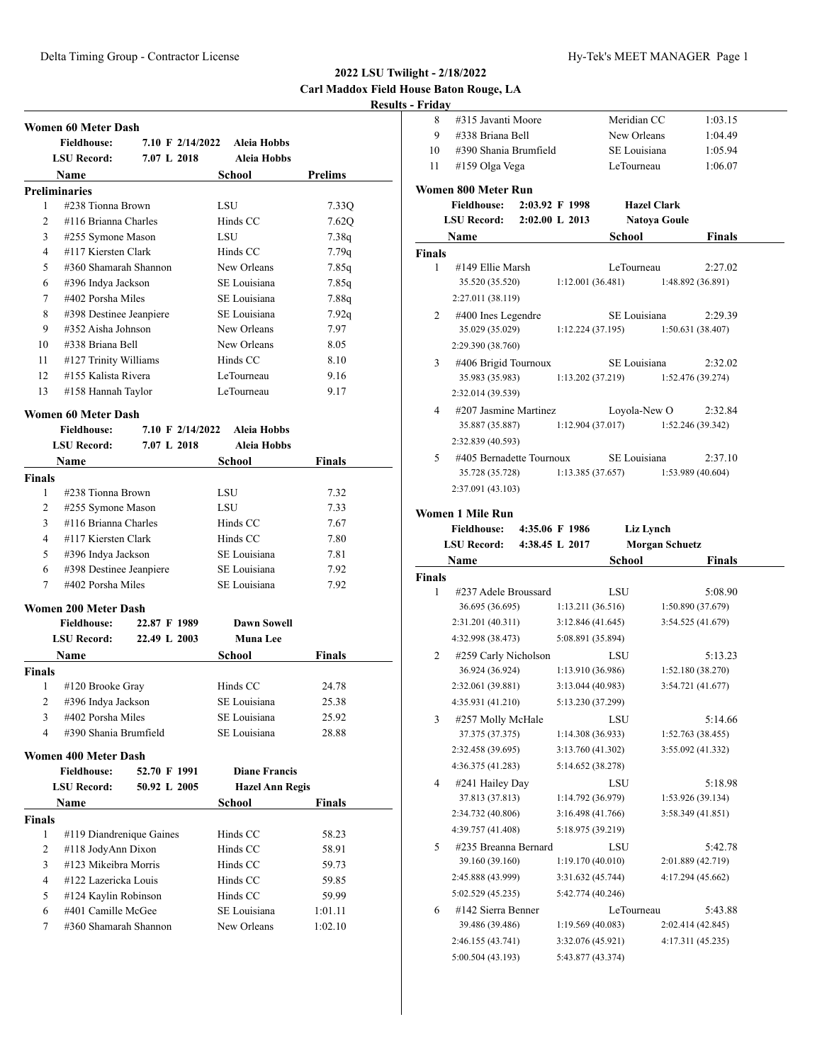8 #315 Javanti Moore Meridian CC 1:03.15

## **2022 LSU Twilight - 2/18/2022 Carl Maddox Field House Baton Rouge, LA Results - Friday**

|                |                             |                  |                        | Resu           |
|----------------|-----------------------------|------------------|------------------------|----------------|
|                | Women 60 Meter Dash         |                  |                        |                |
|                | <b>Fieldhouse:</b>          | 7.10 F 2/14/2022 | <b>Aleia Hobbs</b>     |                |
|                | <b>LSU Record:</b>          | 7.07 L 2018      | Aleia Hobbs            |                |
|                | <b>Name</b>                 |                  | School                 | <b>Prelims</b> |
|                | <b>Preliminaries</b>        |                  |                        |                |
| 1              | #238 Tionna Brown           |                  | LSU                    | 7.33Q          |
| $\overline{c}$ | #116 Brianna Charles        |                  | Hinds CC               | 7.62Q          |
| 3              | #255 Symone Mason           |                  | LSU                    | 7.38q          |
| 4              | #117 Kiersten Clark         |                  | Hinds CC               | 7.79q          |
| 5              | #360 Shamarah Shannon       |                  | New Orleans            | 7.85q          |
| 6              | #396 Indya Jackson          |                  | SE Louisiana           | 7.85q          |
| 7              | #402 Porsha Miles           |                  | SE Louisiana           | 7.88q          |
| 8              | #398 Destinee Jeanpiere     |                  | SE Louisiana           | 7.92q          |
| 9              | #352 Aisha Johnson          |                  | New Orleans            | 7.97           |
| 10             | #338 Briana Bell            |                  | New Orleans            | 8.05           |
| 11             | #127 Trinity Williams       |                  | Hinds CC               | 8.10           |
| 12             | #155 Kalista Rivera         |                  | LeTourneau             | 9.16           |
| 13             | #158 Hannah Taylor          |                  | LeTourneau             | 9.17           |
|                | Women 60 Meter Dash         |                  |                        |                |
|                | <b>Fieldhouse:</b>          | 7.10 F 2/14/2022 | <b>Aleia Hobbs</b>     |                |
|                | <b>LSU Record:</b>          | 7.07 L 2018      | <b>Aleia Hobbs</b>     |                |
|                | Name                        |                  | School                 | Finals         |
| <b>Finals</b>  |                             |                  |                        |                |
| 1              | #238 Tionna Brown           |                  | LSU                    | 7.32           |
| 2              | #255 Symone Mason           |                  | LSU                    | 7.33           |
| 3              | #116 Brianna Charles        |                  | Hinds CC               | 7.67           |
| 4              | #117 Kiersten Clark         |                  | Hinds CC               | 7.80           |
| 5              | #396 Indya Jackson          |                  | SE Louisiana           | 7.81           |
| 6              | #398 Destinee Jeanpiere     |                  | SE Louisiana           | 7.92           |
| 7              | #402 Porsha Miles           |                  | SE Louisiana           | 7.92           |
|                | Women 200 Meter Dash        |                  |                        |                |
|                | <b>Fieldhouse:</b>          | 22.87 F 1989     | <b>Dawn Sowell</b>     |                |
|                | <b>LSU Record:</b>          | 22.49 L 2003     | <b>Muna Lee</b>        |                |
|                | Name                        |                  | <b>School</b>          | Finals         |
| <b>Finals</b>  |                             |                  |                        |                |
| 1              | #120 Brooke Gray            |                  | Hinds CC               | 24.78          |
| 2              | #396 Indya Jackson          |                  | SE Louisiana           | 25.38          |
| 3              | #402 Porsha Miles           |                  | SE Louisiana           | 25.92          |
| 4              | #390 Shania Brumfield       |                  | SE Louisiana           | 28.88          |
|                | <b>Women 400 Meter Dash</b> |                  |                        |                |
|                | <b>Fieldhouse:</b>          | 52.70 F 1991     | <b>Diane Francis</b>   |                |
|                | <b>LSU Record:</b>          | 50.92 L 2005     | <b>Hazel Ann Regis</b> |                |
|                | Name                        |                  | School                 | Finals         |
| Finals         |                             |                  |                        |                |
| 1              | #119 Diandrenique Gaines    |                  | Hinds CC               | 58.23          |
| 2              | #118 JodyAnn Dixon          |                  | Hinds CC               | 58.91          |
| 3              | #123 Mikeibra Morris        |                  | Hinds CC               | 59.73          |
|                |                             |                  |                        |                |

4 #122 Lazericka Louis Hinds CC 59.85 5 #124 Kaylin Robinson Hinds CC 59.99 6 #401 Camille McGee SE Louisiana 1:01.11 7 #360 Shamarah Shannon New Orleans 1:02.10

| 9           | #338 Briana Bell                          |                    |                   | New Orleans  |                       | 1:04.49                      |  |
|-------------|-------------------------------------------|--------------------|-------------------|--------------|-----------------------|------------------------------|--|
| 10          | #390 Shania Brumfield                     |                    |                   | SE Louisiana |                       | 1:05.94                      |  |
| 11          | #159 Olga Vega                            |                    |                   | LeTourneau   |                       | 1:06.07                      |  |
|             |                                           |                    |                   |              |                       |                              |  |
|             | Women 800 Meter Run<br><b>Fieldhouse:</b> | 2:03.92 F 1998     |                   |              | <b>Hazel Clark</b>    |                              |  |
|             | <b>LSU Record:</b>                        | $2:02.00$ L $2013$ |                   |              | <b>Natoya Goule</b>   |                              |  |
|             |                                           |                    |                   |              |                       |                              |  |
|             | Name                                      |                    |                   | School       |                       | Finals                       |  |
| Finals<br>1 | #149 Ellie Marsh                          |                    |                   | LeTourneau   |                       | 2:27.02                      |  |
|             | 35.520 (35.520)                           |                    | 1:12.001(36.481)  |              |                       | 1:48.892 (36.891)            |  |
|             | 2:27.011 (38.119)                         |                    |                   |              |                       |                              |  |
| 2           | #400 Ines Legendre                        |                    |                   | SE Louisiana |                       |                              |  |
|             | 35.029 (35.029)                           |                    | 1:12.224(37.195)  |              |                       | 2:29.39<br>1:50.631(38.407)  |  |
|             | 2:29.390 (38.760)                         |                    |                   |              |                       |                              |  |
|             |                                           |                    |                   | SE Louisiana |                       |                              |  |
| 3           | #406 Brigid Tournoux<br>35.983 (35.983)   |                    | 1:13.202(37.219)  |              |                       | 2:32.02<br>1:52.476 (39.274) |  |
|             | 2:32.014 (39.539)                         |                    |                   |              |                       |                              |  |
|             |                                           |                    |                   |              |                       |                              |  |
| 4           | #207 Jasmine Martinez<br>35.887 (35.887)  |                    | 1:12.904(37.017)  |              | Loyola-New O          | 2:32.84<br>1:52.246(39.342)  |  |
|             | 2:32.839 (40.593)                         |                    |                   |              |                       |                              |  |
|             |                                           |                    |                   |              |                       |                              |  |
| 5           | #405 Bernadette Tournoux                  |                    | 1:13.385(37.657)  | SE Louisiana |                       | 2:37.10<br>1:53.989 (40.604) |  |
|             | 35.728 (35.728)                           |                    |                   |              |                       |                              |  |
|             | 2:37.091 (43.103)                         |                    |                   |              |                       |                              |  |
|             | Women 1 Mile Run                          |                    |                   |              |                       |                              |  |
|             | <b>Fieldhouse:</b>                        | 4:35.06 F 1986     |                   |              | Liz Lynch             |                              |  |
|             | <b>LSU Record:</b>                        | 4:38.45 L 2017     |                   |              | <b>Morgan Schuetz</b> |                              |  |
|             |                                           |                    |                   |              |                       |                              |  |
|             | Name                                      |                    |                   | School       |                       | Finals                       |  |
| Finals      |                                           |                    |                   |              |                       |                              |  |
| 1           | #237 Adele Broussard                      |                    |                   | LSU          |                       | 5:08.90                      |  |
|             | 36.695 (36.695)                           |                    | 1:13.211(36.516)  |              |                       | 1:50.890 (37.679)            |  |
|             | 2:31.201 (40.311)                         |                    | 3:12.846(41.645)  |              |                       | 3:54.525 (41.679)            |  |
|             | 4:32.998 (38.473)                         |                    | 5:08.891 (35.894) |              |                       |                              |  |
| 2           | #259 Carly Nicholson                      |                    |                   | LSU          |                       | 5:13.23                      |  |
|             | 36.924 (36.924)                           |                    | 1:13.910(36.986)  |              |                       | 1:52.180(38.270)             |  |
|             | 2:32.061 (39.881)                         |                    | 3:13.044(40.983)  |              |                       | 3:54.721 (41.677)            |  |
|             | 4:35.931 (41.210)                         |                    | 5:13.230 (37.299) |              |                       |                              |  |
| 3           | #257 Molly McHale                         |                    |                   | LSU          |                       | 5:14.66                      |  |
|             | 37.375 (37.375)                           |                    | 1:14.308 (36.933) |              |                       | 1:52.763 (38.455)            |  |
|             | 2:32.458 (39.695)                         |                    | 3:13.760 (41.302) |              |                       | 3:55.092 (41.332)            |  |
|             | 4:36.375 (41.283)                         |                    | 5:14.652 (38.278) |              |                       |                              |  |
| 4           | #241 Hailey Day                           |                    |                   | LSU          |                       | 5:18.98                      |  |
|             | 37.813 (37.813)                           |                    | 1:14.792 (36.979) |              |                       | 1:53.926 (39.134)            |  |
|             | 2:34.732 (40.806)                         |                    | 3:16.498 (41.766) |              |                       | 3:58.349 (41.851)            |  |
|             | 4:39.757 (41.408)                         |                    | 5:18.975 (39.219) |              |                       |                              |  |
| 5           | #235 Breanna Bernard                      |                    |                   | LSU          |                       | 5:42.78                      |  |
|             | 39.160 (39.160)                           |                    | 1:19.170(40.010)  |              |                       | 2:01.889 (42.719)            |  |
|             | 2:45.888 (43.999)                         |                    | 3:31.632 (45.744) |              |                       | 4:17.294 (45.662)            |  |
|             | 5:02.529 (45.235)                         |                    | 5:42.774 (40.246) |              |                       |                              |  |
| 6           | #142 Sierra Benner                        |                    |                   | LeTourneau   |                       | 5:43.88                      |  |
|             | 39.486 (39.486)                           |                    | 1:19.569(40.083)  |              |                       | 2:02.414 (42.845)            |  |
|             | 2:46.155 (43.741)                         |                    | 3:32.076 (45.921) |              |                       | 4:17.311 (45.235)            |  |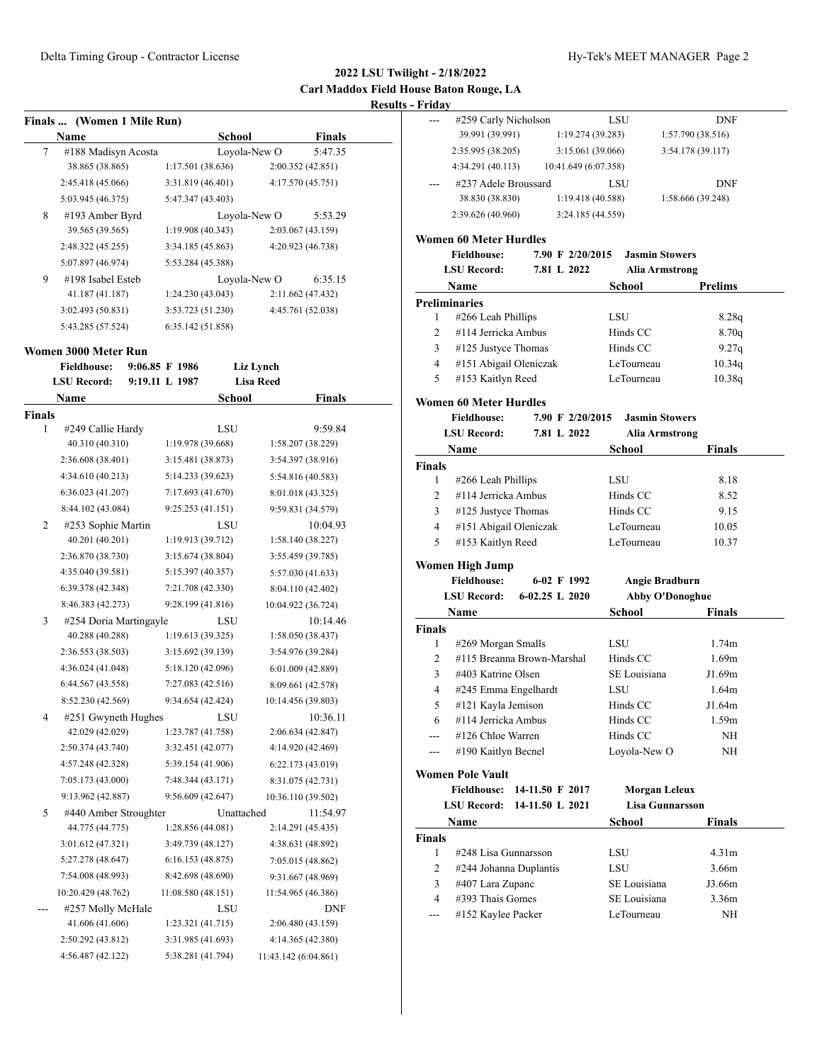# **2022 LSU Twilight - 2/18/2022 Carl Maddox Field House Baton Rouge, LA Results - Fri**

| <b>School</b><br><b>Finals</b><br>Name<br>Loyola-New O<br>7<br>5:47.35<br>#188 Madisyn Acosta<br>38.865 (38.865)<br>1:17.501(38.636)<br>2:00.352 (42.851)<br>4:17.570 (45.751)<br>2:45.418 (45.066)<br>3:31.819 (46.401) |  |
|--------------------------------------------------------------------------------------------------------------------------------------------------------------------------------------------------------------------------|--|
|                                                                                                                                                                                                                          |  |
|                                                                                                                                                                                                                          |  |
|                                                                                                                                                                                                                          |  |
|                                                                                                                                                                                                                          |  |
| 5:47.347 (43.403)<br>5:03.945 (46.375)                                                                                                                                                                                   |  |
| #193 Amber Byrd<br>Loyola-New O<br>8<br>5:53.29                                                                                                                                                                          |  |
| 39.565 (39.565)<br>1:19.908(40.343)<br>2:03.067 (43.159)                                                                                                                                                                 |  |
| 4:20.923 (46.738)<br>2:48.322 (45.255)<br>3:34.185 (45.863)                                                                                                                                                              |  |
| 5:07.897 (46.974)<br>5:53.284 (45.388)                                                                                                                                                                                   |  |
| #198 Isabel Esteb<br>9<br>Loyola-New O<br>6:35.15                                                                                                                                                                        |  |
| 41.187 (41.187)<br>1:24.230(43.043)<br>2:11.662 (47.432)                                                                                                                                                                 |  |
| 3:02.493 (50.831)<br>3:53.723 (51.230)<br>4:45.761 (52.038)                                                                                                                                                              |  |
| 5:43.285 (57.524)<br>6:35.142 (51.858)                                                                                                                                                                                   |  |
| Women 3000 Meter Run                                                                                                                                                                                                     |  |
| <b>Fieldhouse:</b><br>$9:06.85$ F 1986<br>Liz Lynch                                                                                                                                                                      |  |
| <b>Lisa Reed</b><br><b>LSU Record:</b><br>9:19.11 L 1987                                                                                                                                                                 |  |
| School<br>Name<br>Finals                                                                                                                                                                                                 |  |
| Finals                                                                                                                                                                                                                   |  |
| 1<br>#249 Callie Hardy<br>9:59.84<br>LSU                                                                                                                                                                                 |  |
| 40.310 (40.310)<br>1:19.978(39.668)<br>1:58.207 (38.229)                                                                                                                                                                 |  |
| 2:36.608 (38.401)<br>3:15.481 (38.873)<br>3:54.397 (38.916)                                                                                                                                                              |  |
| 4:34.610 (40.213)<br>5:14.233 (39.623)<br>5:54.816 (40.583)                                                                                                                                                              |  |
| 6:36.023 (41.207)<br>7:17.693 (41.670)<br>8:01.018 (43.325)                                                                                                                                                              |  |
| 8:44.102 (43.084)<br>9:25.253 (41.151)<br>9:59.831 (34.579)                                                                                                                                                              |  |
| 2<br>#253 Sophie Martin<br>LSU<br>10:04.93                                                                                                                                                                               |  |
| 40.201 (40.201)<br>1:19.913 (39.712)<br>1:58.140 (38.227)                                                                                                                                                                |  |
| 2:36.870 (38.730)<br>3:15.674 (38.804)<br>3:55.459 (39.785)                                                                                                                                                              |  |
| 4:35.040 (39.581)<br>5:15.397 (40.357)<br>5:57.030 (41.633)                                                                                                                                                              |  |
| 6:39.378 (42.348)<br>7:21.708 (42.330)<br>8:04.110 (42.402)                                                                                                                                                              |  |
| 8:46.383 (42.273)<br>9:28.199 (41.816)<br>10:04.922 (36.724)                                                                                                                                                             |  |
| 3<br>#254 Doria Martingayle<br>LSU<br>10:14.46                                                                                                                                                                           |  |
| 40.288 (40.288)<br>1:19.613(39.325)<br>1:58.050 (38.437)                                                                                                                                                                 |  |
| 2:36.553 (38.503)<br>3:15.692 (39.139)<br>3:54.976 (39.284)                                                                                                                                                              |  |
| 4:36.024 (41.048)<br>5:18.120 (42.096)<br>6:01.009(42.889)                                                                                                                                                               |  |
| 6:44.567 (43.558)<br>7:27.083 (42.516)<br>8:09.661 (42.578)                                                                                                                                                              |  |
| 8:52.230 (42.569)<br>9:34.654 (42.424)<br>10:14.456 (39.803)                                                                                                                                                             |  |
| #251 Gwyneth Hughes<br>LSU<br>10:36.11<br>4                                                                                                                                                                              |  |
| 42.029 (42.029)<br>1:23.787 (41.758)<br>2:06.634 (42.847)                                                                                                                                                                |  |
| 2:50.374 (43.740)<br>3:32.451 (42.077)<br>4:14.920 (42.469)                                                                                                                                                              |  |
| 4:57.248 (42.328)<br>5:39.154 (41.906)<br>6:22.173 (43.019)                                                                                                                                                              |  |
| 7:05.173 (43.000)<br>7:48.344 (43.171)<br>8:31.075 (42.731)                                                                                                                                                              |  |
| 9:13.962 (42.887)<br>9:56.609 (42.647)<br>10:36.110 (39.502)                                                                                                                                                             |  |
| 5<br>#440 Amber Stroughter<br>Unattached<br>11:54.97                                                                                                                                                                     |  |
| 44.775 (44.775)<br>1:28.856 (44.081)<br>2:14.291 (45.435)                                                                                                                                                                |  |
| 3:01.612 (47.321)<br>3:49.739 (48.127)<br>4:38.631 (48.892)                                                                                                                                                              |  |
| 5:27.278 (48.647)<br>6:16.153(48.875)<br>7:05.015 (48.862)                                                                                                                                                               |  |
| 7:54.008 (48.993)<br>8:42.698 (48.690)<br>9:31.667 (48.969)                                                                                                                                                              |  |
| 10:20.429 (48.762)<br>11:08.580 (48.151)<br>11:54.965 (46.386)                                                                                                                                                           |  |
| #257 Molly McHale<br><b>DNF</b><br>LSU<br>41.606 (41.606)<br>1:23.321 (41.715)<br>2:06.480 (43.159)                                                                                                                      |  |
| 2:50.292 (43.812)<br>4:14.365 (42.380)<br>3:31.985 (41.693)                                                                                                                                                              |  |
| 4:56.487 (42.122)<br>5:38.281 (41.794)<br>11:43.142 (6:04.861)                                                                                                                                                           |  |

|                    | - Friday<br>#259 Carly Nicholson         | LSU                  | <b>DNF</b>             |
|--------------------|------------------------------------------|----------------------|------------------------|
|                    | 39.991 (39.991)                          | 1:19.274(39.283)     | 1:57.790 (38.516)      |
|                    | 2:35.995 (38.205)                        | 3:15.061 (39.066)    | 3:54.178 (39.117)      |
|                    | 4:34.291 (40.113)                        | 10:41.649 (6:07.358) |                        |
|                    | #237 Adele Broussard                     | LSU                  | DNF                    |
|                    | 38.830 (38.830)                          | 1:19.418(40.588)     | 1:58.666 (39.248)      |
|                    | 2:39.626 (40.960)                        | 3:24.185 (44.559)    |                        |
|                    | Women 60 Meter Hurdles                   |                      |                        |
|                    | <b>Fieldhouse:</b>                       | 7.90 F 2/20/2015     | <b>Jasmin Stowers</b>  |
|                    | <b>LSU Record:</b>                       | 7.81 L 2022          | <b>Alia Armstrong</b>  |
|                    | Name                                     | School               | Prelims                |
|                    | <b>Preliminaries</b>                     |                      |                        |
| 1                  | #266 Leah Phillips                       | LSU                  | 8.28q                  |
| 2                  | #114 Jerricka Ambus                      | Hinds CC             | 8.70q                  |
| 3                  | #125 Justyce Thomas                      | Hinds CC             | 9.27q                  |
| 4                  | #151 Abigail Oleniczak                   | LeTourneau           | 10.34q                 |
| 5                  | #153 Kaitlyn Reed                        | LeTourneau           | 10.38q                 |
|                    | Women 60 Meter Hurdles                   |                      |                        |
|                    | <b>Fieldhouse:</b>                       | 7.90 F 2/20/2015     | <b>Jasmin Stowers</b>  |
|                    | <b>LSU Record:</b>                       | 7.81 L 2022          | <b>Alia Armstrong</b>  |
|                    | Name                                     | School               | <b>Finals</b>          |
| Finals             |                                          |                      |                        |
| 1                  | #266 Leah Phillips                       | LSU                  | 8.18                   |
| 2                  | #114 Jerricka Ambus                      | Hinds CC             | 8.52                   |
| 3                  | #125 Justyce Thomas                      | Hinds CC             | 9.15                   |
| 4                  | #151 Abigail Oleniczak                   | LeTourneau           | 10.05                  |
| 5                  | #153 Kaitlyn Reed                        | LeTourneau           | 10.37                  |
|                    | Women High Jump                          |                      |                        |
|                    | <b>Fieldhouse:</b>                       | 6-02 F 1992          | Angie Bradburn         |
|                    | <b>LSU Record:</b><br>$6-02.25$ L $2020$ |                      | <b>Abby O'Donoghue</b> |
|                    | Name                                     | School               | Finals                 |
| <b>Finals</b>      |                                          |                      |                        |
|                    |                                          |                      |                        |
| 1                  | #269 Morgan Smalls                       | LSU                  | 1.74m                  |
| 2                  | #115 Breanna Brown-Marshal               | Hinds CC             | 1.69m                  |
| 3                  | #403 Katrine Olsen                       | SE Louisiana         | J1.69m                 |
| $\overline{4}$     | #245 Emma Engelhardt                     | LSU                  | 1.64m                  |
| 5                  | #121 Kayla Jemison                       | Hinds CC             | J1.64m                 |
| 6                  | #114 Jerricka Ambus                      | Hinds CC             | 1.59m                  |
|                    | #126 Chloe Warren                        | Hinds CC             | NH                     |
| ---                | #190 Kaitlyn Becnel                      | Loyola-New O         | ΝH                     |
|                    | <b>Women Pole Vault</b>                  |                      |                        |
|                    | <b>Fieldhouse:</b><br>14-11.50 F 2017    |                      | <b>Morgan Leleux</b>   |
|                    | 14-11.50 L 2021<br><b>LSU Record:</b>    |                      | <b>Lisa Gunnarsson</b> |
|                    | Name                                     | School               | Finals                 |
|                    |                                          |                      |                        |
| 1                  | #248 Lisa Gunnarsson                     | LSU                  | 4.31m                  |
| 2                  | #244 Johanna Duplantis                   | LSU                  | 3.66m                  |
| <b>Finals</b><br>3 | #407 Lara Zupanc                         | SE Louisiana         | J3.66m                 |
| $\overline{4}$     | #393 Thais Gomes                         | SE Louisiana         | 3.36m                  |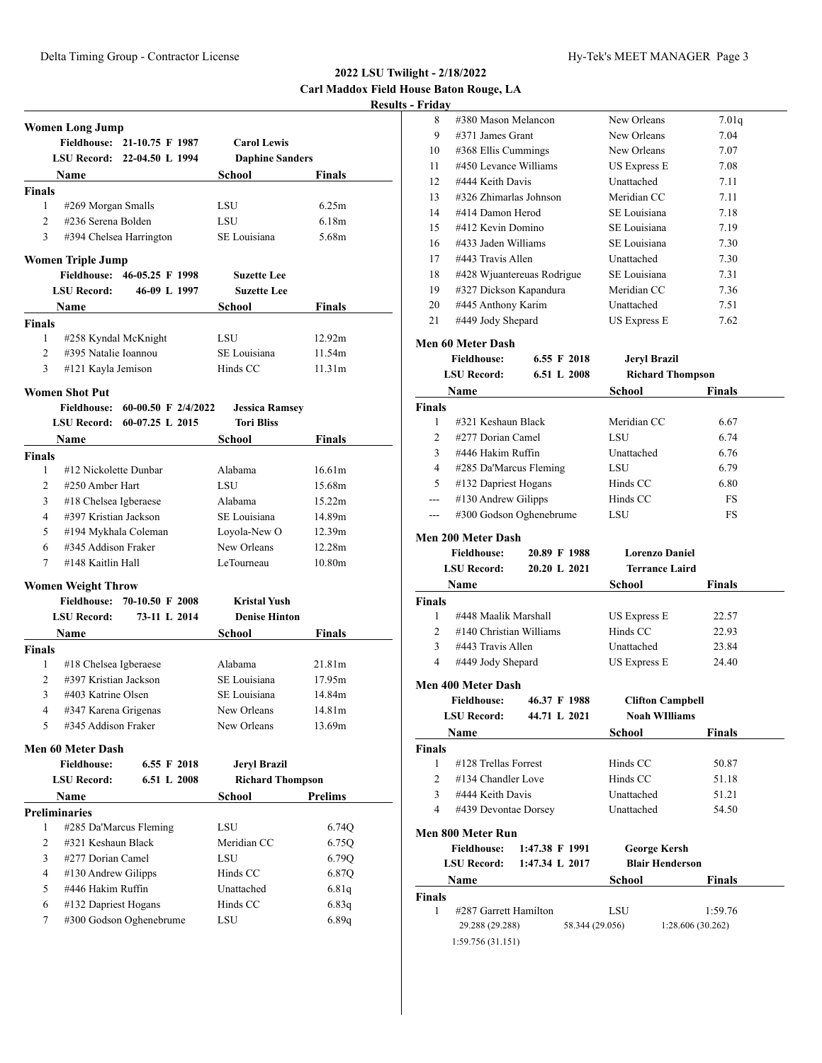**2022 LSU Twilight - 2/18/2022 Carl Maddox Field House Baton Rouge, LA Results - Friday**

|                | <b>Women Long Jump</b>    |                             |                         |                    |
|----------------|---------------------------|-----------------------------|-------------------------|--------------------|
|                | <b>Fieldhouse:</b>        | 21-10.75 F 1987             | <b>Carol Lewis</b>      |                    |
|                |                           | LSU Record: 22-04.50 L 1994 | <b>Daphine Sanders</b>  |                    |
|                | Name                      |                             | School                  | Finals             |
| <b>Finals</b>  |                           |                             |                         |                    |
| 1              | #269 Morgan Smalls        |                             | LSU                     | 6.25m              |
| $\overline{2}$ | #236 Serena Bolden        |                             | LSU                     | 6.18m              |
| 3              |                           | #394 Chelsea Harrington     | SE Louisiana            | 5.68m              |
|                | <b>Women Triple Jump</b>  |                             |                         |                    |
|                | <b>Fieldhouse:</b>        | 46-05.25 F 1998             | <b>Suzette Lee</b>      |                    |
|                | <b>LSU Record:</b>        | 46-09 L 1997                | <b>Suzette Lee</b>      |                    |
|                | Name                      |                             | School                  | <b>Finals</b>      |
| <b>Finals</b>  |                           |                             |                         |                    |
| $\mathbf{1}$   | #258 Kyndal McKnight      |                             | LSU                     | 12.92m             |
| $\overline{2}$ | #395 Natalie Ioannou      |                             | SE Louisiana            | 11.54m             |
| 3              | #121 Kayla Jemison        |                             | Hinds CC                | 11.31m             |
|                | <b>Women Shot Put</b>     |                             |                         |                    |
|                | <b>Fieldhouse:</b>        | 60-00.50 F 2/4/2022         | <b>Jessica Ramsey</b>   |                    |
|                | <b>LSU Record:</b>        | $60-07.25$ L $2015$         | <b>Tori Bliss</b>       |                    |
|                | <b>Name</b>               |                             | School                  | <b>Finals</b>      |
| <b>Finals</b>  |                           |                             |                         |                    |
| 1              | #12 Nickolette Dunbar     |                             | Alabama                 | 16.61m             |
| 2              | #250 Amber Hart           |                             | <b>LSU</b>              | 15.68m             |
| 3              | #18 Chelsea Igberaese     |                             | Alabama                 | 15.22m             |
| $\overline{4}$ | #397 Kristian Jackson     |                             | SE Louisiana            | 14.89m             |
| 5              | #194 Mykhala Coleman      |                             | Loyola-New O            | 12.39m             |
| 6              | #345 Addison Fraker       |                             | New Orleans             | 12.28m             |
| $\tau$         | #148 Kaitlin Hall         |                             | LeTourneau              | 10.80 <sub>m</sub> |
|                | <b>Women Weight Throw</b> |                             |                         |                    |
|                | <b>Fieldhouse:</b>        | 70-10.50 F 2008             | <b>Kristal Yush</b>     |                    |
|                | <b>LSU Record:</b>        | 73-11 L 2014                | <b>Denise Hinton</b>    |                    |
|                | Name                      |                             | School                  | Finals             |
| <b>Finals</b>  |                           |                             |                         |                    |
| 1              | #18 Chelsea Igberaese     |                             | Alabama                 | 21.81 <sub>m</sub> |
| $\overline{2}$ | #397 Kristian Jackson     |                             | SE Louisiana            | 17.95m             |
| 3              | #403 Katrine Olsen        |                             | SE Louisiana            | 14.84m             |
| 4              | #347 Karena Grigenas      |                             | New Orleans             | 14.81m             |
|                | 5 #345 Addison Fraker     |                             | New Orleans             | 13.69m             |
|                | <b>Men 60 Meter Dash</b>  |                             |                         |                    |
|                | <b>Fieldhouse:</b>        | 6.55 F 2018                 | <b>Jeryl Brazil</b>     |                    |
|                | <b>LSU Record:</b>        | 6.51 L 2008                 | <b>Richard Thompson</b> |                    |
|                | <b>Name</b>               |                             | School                  | <b>Prelims</b>     |
|                | <b>Preliminaries</b>      |                             |                         |                    |
| 1              |                           | #285 Da'Marcus Fleming      | LSU                     | 6.74Q              |
| $\overline{2}$ | #321 Keshaun Black        |                             | Meridian CC             | 6.75Q              |
|                | #277 Dorian Camel         |                             |                         |                    |
| 3              |                           |                             | LSU                     | 6.79Q              |
| 4              | #130 Andrew Gilipps       |                             | Hinds CC                | 6.87Q              |
| 5              | #446 Hakim Ruffin         |                             | Unattached              | 6.81q              |
| 6              | #132 Dapriest Hogans      |                             | Hinds CC                | 6.83q              |
| 7              |                           | #300 Godson Oghenebrume     | LSU                     | 6.89q              |

| rıuav |                            |                     |       |
|-------|----------------------------|---------------------|-------|
| 8     | #380 Mason Melancon        | New Orleans         | 7.01q |
| 9     | $\#371$ James Grant        | New Orleans         | 7.04  |
| 10    | #368 Ellis Cummings        | New Orleans         | 7.07  |
| 11    | #450 Levance Williams      | <b>US Express E</b> | 7.08  |
| 12    | #444 Keith Davis           | Unattached          | 7.11  |
| 13    | #326 Zhimarlas Johnson     | Meridian CC         | 7.11  |
| 14    | #414 Damon Herod           | SE Louisiana        | 7.18  |
| 15    | #412 Kevin Domino          | SE Louisiana        | 7.19  |
| 16    | #433 Jaden Williams        | SE Louisiana        | 7.30  |
| 17    | #443 Travis Allen          | Unattached          | 7.30  |
| 18    | #428 Wjuantereuas Rodrigue | SE Louisiana        | 7.31  |
| 19    | #327 Dickson Kapandura     | Meridian CC         | 7.36  |
| 20    | #445 Anthony Karim         | Unattached          | 7.51  |
| 21    | #449 Jody Shepard          | <b>US Express E</b> | 7.62  |

### **Men 60 Meter Dash**

|               | <b>Fieldhouse:</b>                | 6.55 F 2018 | <b>Jervl Brazil</b>     |               |
|---------------|-----------------------------------|-------------|-------------------------|---------------|
|               | 6.51 L 2008<br><b>LSU Record:</b> |             | <b>Richard Thompson</b> |               |
|               | <b>Name</b>                       |             | <b>School</b>           | <b>Finals</b> |
| <b>Finals</b> |                                   |             |                         |               |
| 1             | #321 Keshaun Black                |             | Meridian CC             | 6.67          |
| 2             | #277 Dorian Camel                 |             | LSU                     | 6.74          |
| 3             | #446 Hakim Ruffin                 |             | Unattached              | 6.76          |
| 4             | #285 Da'Marcus Fleming            |             | LSU                     | 6.79          |
| 5             | #132 Dapriest Hogans              |             | Hinds CC                | 6.80          |
| ---           | $\#130$ Andrew Gilipps            |             | Hinds CC                | FS            |
|               | #300 Godson Oghenebrume           |             | LSU                     | FS            |
|               | Men 200 Meter Dash                |             |                         |               |

|                | <b>Fieldhouse:</b>                 | 20.89 F 1988 | <b>Lorenzo Daniel</b> |               |  |
|----------------|------------------------------------|--------------|-----------------------|---------------|--|
|                | 20.20 L 2021<br><b>LSU</b> Record: |              | <b>Terrance Laird</b> |               |  |
|                | Name                               |              | School                | <b>Finals</b> |  |
| <b>Finals</b>  |                                    |              |                       |               |  |
|                | #448 Maalik Marshall               |              | <b>US Express E</b>   | 22.57         |  |
| $\mathfrak{D}$ | $\#140$ Christian Williams         |              | Hinds CC              | 22.93         |  |
|                | #443 Travis Allen                  |              | Unattached            | 23.84         |  |

4 #449 Jody Shepard US Express E 24.40

#### **Men 400 Meter Dash**

| IVIEN 400 IVIELEF IJASH                                                  |                       |                 |            |                         |
|--------------------------------------------------------------------------|-----------------------|-----------------|------------|-------------------------|
| <b>Fieldhouse:</b><br>46.37 F 1988<br><b>LSU</b> Record:<br>44.71 L 2021 |                       |                 |            | <b>Clifton Campbell</b> |
|                                                                          |                       |                 |            | <b>Noah WIlliams</b>    |
| Name                                                                     |                       |                 | School     | <b>Finals</b>           |
| <b>Finals</b>                                                            |                       |                 |            |                         |
| 1<br>#128 Trellas Forrest                                                |                       |                 | Hinds CC   | 50.87                   |
| $\overline{c}$                                                           | #134 Chandler Love    |                 | Hinds CC   | 51.18                   |
| 3                                                                        | #444 Keith Davis      |                 | Unattached | 51.21                   |
| 4                                                                        | #439 Devontae Dorsey  |                 | Unattached | 54.50                   |
| Men 800 Meter Run                                                        |                       |                 |            |                         |
| <b>Fieldhouse:</b>                                                       |                       | 1:47.38 F 1991  |            | <b>George Kersh</b>     |
| <b>LSU Record:</b>                                                       |                       | 1:47.34 L 2017  |            | <b>Blair Henderson</b>  |
| Name                                                                     |                       |                 | School     | Finals                  |
| <b>Finals</b>                                                            |                       |                 |            |                         |
| 1                                                                        | #287 Garrett Hamilton |                 | LSU        | 1:59.76                 |
|                                                                          | 29.288 (29.288)       | 58.344 (29.056) |            | 1:28.606 (30.262)       |
|                                                                          | 1:59.756(31.151)      |                 |            |                         |
|                                                                          |                       |                 |            |                         |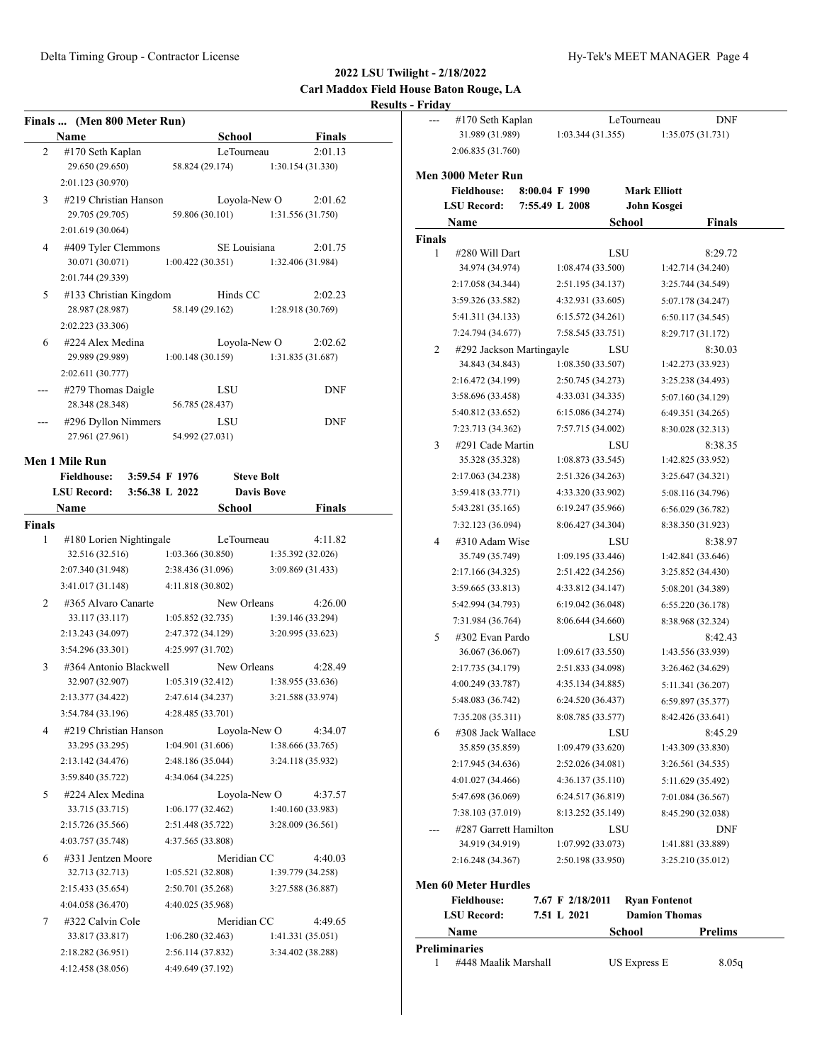# **2022 LSU Twilight - 2/18/2022 Carl Maddox Field House Baton Rouge, LA Results - Friday**

|        | Finals  (Men 800 Meter Run) |                                     |                   |                   | $---$         | #170 Seth Kaplan                   |                |                   | LeTourneau          | <b>DNF</b>                   |
|--------|-----------------------------|-------------------------------------|-------------------|-------------------|---------------|------------------------------------|----------------|-------------------|---------------------|------------------------------|
|        | Name                        | <b>School</b>                       |                   | <b>Finals</b>     |               | 31.989 (31.989)                    |                | 1:03.344(31.355)  |                     | 1:35.075 (31.731)            |
| 2      | #170 Seth Kaplan            | LeTourneau                          |                   | 2:01.13           |               | 2:06.835 (31.760)                  |                |                   |                     |                              |
|        | 29.650 (29.650)             | 58.824 (29.174)                     |                   | 1:30.154 (31.330) |               | Men 3000 Meter Run                 |                |                   |                     |                              |
|        | 2:01.123 (30.970)           |                                     |                   |                   |               | <b>Fieldhouse:</b>                 | 8:00.04 F 1990 |                   | <b>Mark Elliott</b> |                              |
| 3      | #219 Christian Hanson       | Loyola-New O                        |                   | 2:01.62           |               | <b>LSU Record:</b>                 | 7:55.49 L 2008 |                   |                     | John Kosgei                  |
|        | 29.705 (29.705)             | 59.806 (30.101)                     |                   | 1:31.556 (31.750) |               | Name                               |                |                   | School              | <b>Finals</b>                |
|        | 2:01.619 (30.064)           |                                     |                   |                   | <b>Finals</b> |                                    |                |                   |                     |                              |
| 4      | #409 Tyler Clemmons         | SE Louisiana                        |                   | 2:01.75           | 1             | #280 Will Dart                     |                |                   | LSU                 | 8:29.72                      |
|        | 30.071 (30.071)             | 1:00.422(30.351)                    |                   | 1:32.406 (31.984) |               | 34.974 (34.974)                    |                | 1:08.474(33.500)  |                     | 1:42.714 (34.240)            |
|        | 2:01.744 (29.339)           |                                     |                   |                   |               | 2:17.058 (34.344)                  |                | 2:51.195 (34.137) |                     | 3:25.744 (34.549)            |
| 5      | #133 Christian Kingdom      | Hinds CC                            |                   | 2:02.23           |               | 3:59.326 (33.582)                  |                | 4:32.931 (33.605) |                     | 5:07.178 (34.247)            |
|        | 28.987 (28.987)             | 58.149 (29.162)                     |                   | 1:28.918 (30.769) |               | 5:41.311 (34.133)                  |                | 6:15.572(34.261)  |                     | 6:50.117 (34.545)            |
|        | 2:02.223 (33.306)           |                                     |                   |                   |               | 7:24.794 (34.677)                  |                | 7:58.545 (33.751) |                     | 8:29.717 (31.172)            |
| 6      | #224 Alex Medina            | Loyola-New O                        |                   | 2:02.62           | 2             | #292 Jackson Martingayle           |                |                   | LSU                 | 8:30.03                      |
|        | 29.989 (29.989)             | 1:00.148(30.159)                    |                   | 1:31.835 (31.687) |               | 34.843 (34.843)                    |                | 1:08.350 (33.507) |                     | 1:42.273 (33.923)            |
|        | 2:02.611 (30.777)           |                                     |                   |                   |               | 2:16.472 (34.199)                  |                | 2:50.745 (34.273) |                     | 3:25.238 (34.493)            |
| ---    | #279 Thomas Daigle          | LSU                                 |                   | <b>DNF</b>        |               | 3:58.696 (33.458)                  |                | 4:33.031 (34.335) |                     | 5:07.160 (34.129)            |
|        | 28.348 (28.348)             | 56.785 (28.437)                     |                   |                   |               | 5:40.812 (33.652)                  |                | 6:15.086 (34.274) |                     | 6:49.351 (34.265)            |
| $---$  | #296 Dyllon Nimmers         | LSU                                 |                   | <b>DNF</b>        |               | 7:23.713 (34.362)                  |                | 7:57.715 (34.002) |                     | 8:30.028 (32.313)            |
|        | 27.961 (27.961)             | 54.992 (27.031)                     |                   |                   | 3             | #291 Cade Martin                   |                |                   | LSU                 | 8:38.35                      |
|        | Men 1 Mile Run              |                                     |                   |                   |               | 35.328 (35.328)                    |                | 1:08.873(33.545)  |                     | 1:42.825 (33.952)            |
|        | <b>Fieldhouse:</b>          | 3:59.54 F 1976<br><b>Steve Bolt</b> |                   |                   |               | 2:17.063 (34.238)                  |                | 2:51.326 (34.263) |                     | 3:25.647 (34.321)            |
|        | <b>LSU Record:</b>          | 3:56.38 L 2022                      | <b>Davis Bove</b> |                   |               | 3:59.418 (33.771)                  |                | 4:33.320 (33.902) |                     | 5:08.116 (34.796)            |
|        | Name                        | School                              |                   | Finals            |               | 5:43.281 (35.165)                  |                | 6:19.247 (35.966) |                     | 6:56.029 (36.782)            |
| Finals |                             |                                     |                   |                   |               | 7:32.123 (36.094)                  |                | 8:06.427 (34.304) |                     | 8:38.350 (31.923)            |
| 1      | #180 Lorien Nightingale     | LeTourneau                          |                   | 4:11.82           | 4             | #310 Adam Wise                     |                |                   | LSU                 | 8:38.97                      |
|        | 32.516 (32.516)             | 1:03.366 (30.850)                   |                   | 1:35.392 (32.026) |               | 35.749 (35.749)                    |                | 1:09.195 (33.446) |                     | 1:42.841 (33.646)            |
|        | 2:07.340 (31.948)           | 2:38.436 (31.096)                   |                   | 3:09.869 (31.433) |               | 2:17.166 (34.325)                  |                | 2:51.422 (34.256) |                     | 3:25.852 (34.430)            |
|        | 3:41.017 (31.148)           | 4:11.818 (30.802)                   |                   |                   |               | 3:59.665 (33.813)                  |                | 4:33.812 (34.147) |                     | 5:08.201 (34.389)            |
| 2      | #365 Alvaro Canarte         | New Orleans                         |                   | 4:26.00           |               | 5:42.994 (34.793)                  |                | 6:19.042 (36.048) |                     | 6:55.220 (36.178)            |
|        | 33.117 (33.117)             | 1:05.852(32.735)                    |                   | 1:39.146 (33.294) |               | 7:31.984 (36.764)                  |                | 8:06.644 (34.660) |                     |                              |
|        | 2:13.243 (34.097)           | 2:47.372 (34.129)                   |                   | 3:20.995 (33.623) |               |                                    |                |                   |                     | 8:38.968 (32.324)            |
|        | 3:54.296 (33.301)           | 4:25.997 (31.702)                   |                   |                   | 5             | #302 Evan Pardo<br>36.067 (36.067) |                | 1:09.617(33.550)  | LSU                 | 8:42.43<br>1:43.556 (33.939) |
| 3      | #364 Antonio Blackwell      | New Orleans                         |                   | 4:28.49           |               | 2:17.735 (34.179)                  |                | 2:51.833 (34.098) |                     |                              |
|        | 32.907 (32.907)             | 1:05.319 (32.412)                   |                   | 1:38.955 (33.636) |               |                                    |                |                   |                     | 3:26.462 (34.629)            |
|        | 2:13.377 (34.422)           | 2:47.614 (34.237)                   |                   | 3:21.588 (33.974) |               | 4:00.249 (33.787)                  |                | 4:35.134 (34.885) |                     | 5:11.341 (36.207)            |
|        | 3:54.784 (33.196)           | 4:28.485 (33.701)                   |                   |                   |               | 5:48.083 (36.742)                  |                | 6:24.520 (36.437) |                     | 6:59.897 (35.377)            |
|        | #219 Christian Hanson       | Loyola-New O                        |                   | 4:34.07           |               | 7:35.208 (35.311)                  |                | 8:08.785 (33.577) |                     | 8:42.426 (33.641)            |
| 4      | 33.295 (33.295)             | 1:04.901 (31.606)                   |                   | 1:38.666 (33.765) | 6             | #308 Jack Wallace                  |                |                   | LSU                 | 8:45.29                      |
|        | 2:13.142 (34.476)           | 2:48.186 (35.044)                   |                   | 3:24.118 (35.932) |               | 35.859 (35.859)                    |                | 1:09.479 (33.620) |                     | 1:43.309 (33.830)            |
|        | 3:59.840 (35.722)           | 4:34.064 (34.225)                   |                   |                   |               | 2:17.945 (34.636)                  |                | 2:52.026 (34.081) |                     | 3:26.561 (34.535)            |
|        |                             |                                     |                   |                   |               | 4:01.027 (34.466)                  |                | 4:36.137(35.110)  |                     | 5:11.629 (35.492)            |
| 5      | #224 Alex Medina            | Loyola-New O                        |                   | 4:37.57           |               | 5:47.698 (36.069)                  |                | 6:24.517 (36.819) |                     | 7:01.084 (36.567)            |
|        | 33.715 (33.715)             | 1:06.177(32.462)                    |                   | 1:40.160 (33.983) |               | 7:38.103 (37.019)                  |                | 8:13.252 (35.149) |                     | 8:45.290 (32.038)            |
|        | 2:15.726 (35.566)           | 2:51.448 (35.722)                   |                   | 3:28.009 (36.561) |               | #287 Garrett Hamilton              |                |                   | LSU                 | <b>DNF</b>                   |
|        | 4:03.757 (35.748)           | 4:37.565 (33.808)                   |                   |                   |               | 34.919 (34.919)                    |                | 1:07.992 (33.073) |                     | 1:41.881 (33.889)            |
| 6      | #331 Jentzen Moore          | Meridian CC                         |                   | 4:40.03           |               | 2:16.248 (34.367)                  |                | 2:50.198 (33.950) |                     | 3:25.210 (35.012)            |
|        | 32.713 (32.713)             | 1:05.521 (32.808)                   |                   | 1:39.779 (34.258) |               | <b>Men 60 Meter Hurdles</b>        |                |                   |                     |                              |
|        | 2:15.433 (35.654)           | 2:50.701 (35.268)                   |                   | 3:27.588 (36.887) |               | <b>Fieldhouse:</b>                 |                | 7.67 F 2/18/2011  |                     | <b>Ryan Fontenot</b>         |
|        | 4:04.058 (36.470)           | 4:40.025 (35.968)                   |                   |                   |               | <b>LSU Record:</b>                 |                | 7.51 L 2021       |                     | <b>Damion Thomas</b>         |
| 7      | #322 Calvin Cole            | Meridian CC                         |                   | 4:49.65           |               | Name                               |                |                   | <b>School</b>       | <b>Prelims</b>               |
|        | 33.817 (33.817)             | 1:06.280(32.463)                    |                   | 1:41.331 (35.051) |               | <b>Preliminaries</b>               |                |                   |                     |                              |
|        | 2:18.282 (36.951)           | 2:56.114 (37.832)                   |                   | 3:34.402 (38.288) | 1             | #448 Maalik Marshall               |                |                   | <b>US Express E</b> | 8.05q                        |
|        | 4:12.458 (38.056)           | 4:49.649 (37.192)                   |                   |                   |               |                                    |                |                   |                     |                              |